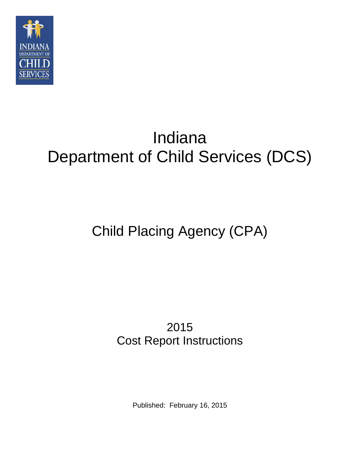

# Indiana Department of Child Services (DCS)

## Child Placing Agency (CPA)

## 2015 Cost Report Instructions

Published: February 16, 2015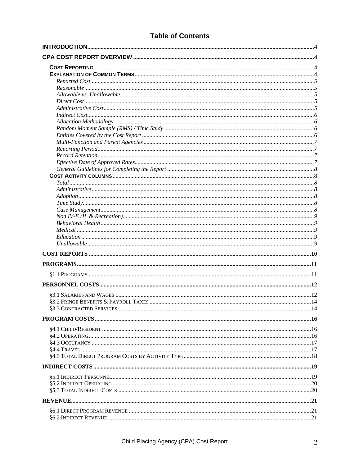### **Table of Contents**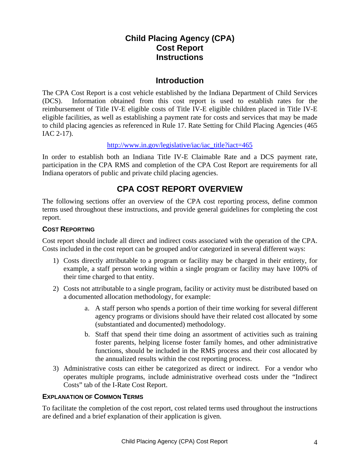## **Child Placing Agency (CPA) Cost Report Instructions**

## **Introduction**

The CPA Cost Report is a cost vehicle established by the Indiana Department of Child Services (DCS). Information obtained from this cost report is used to establish rates for the reimbursement of Title IV-E eligible costs of Title IV-E eligible children placed in Title IV-E eligible facilities, as well as establishing a payment rate for costs and services that may be made to child placing agencies as referenced in Rule 17. Rate Setting for Child Placing Agencies (465 IAC 2-17).

#### http://www.in.gov/legislative/iac/iac\_title?iact=465

In order to establish both an Indiana Title IV-E Claimable Rate and a DCS payment rate, participation in the CPA RMS and completion of the CPA Cost Report are requirements for all Indiana operators of public and private child placing agencies.

## **CPA COST REPORT OVERVIEW**

The following sections offer an overview of the CPA cost reporting process, define common terms used throughout these instructions, and provide general guidelines for completing the cost report.

#### **COST REPORTING**

Cost report should include all direct and indirect costs associated with the operation of the CPA. Costs included in the cost report can be grouped and/or categorized in several different ways:

- 1) Costs directly attributable to a program or facility may be charged in their entirety, for example, a staff person working within a single program or facility may have 100% of their time charged to that entity.
- 2) Costs not attributable to a single program, facility or activity must be distributed based on a documented allocation methodology, for example:
	- a. A staff person who spends a portion of their time working for several different agency programs or divisions should have their related cost allocated by some (substantiated and documented) methodology.
	- b. Staff that spend their time doing an assortment of activities such as training foster parents, helping license foster family homes, and other administrative functions, should be included in the RMS process and their cost allocated by the annualized results within the cost reporting process.
- 3) Administrative costs can either be categorized as direct or indirect. For a vendor who operates multiple programs, include administrative overhead costs under the "Indirect Costs" tab of the I-Rate Cost Report.

#### **EXPLANATION OF COMMON TERMS**

To facilitate the completion of the cost report, cost related terms used throughout the instructions are defined and a brief explanation of their application is given.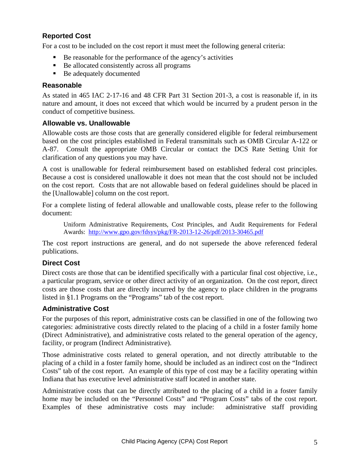#### **Reported Cost**

For a cost to be included on the cost report it must meet the following general criteria:

- Be reasonable for the performance of the agency's activities
- Be allocated consistently across all programs
- Be adequately documented

#### **Reasonable**

As stated in 465 IAC 2-17-16 and 48 CFR Part 31 Section 201-3, a cost is reasonable if, in its nature and amount, it does not exceed that which would be incurred by a prudent person in the conduct of competitive business.

#### **Allowable vs. Unallowable**

Allowable costs are those costs that are generally considered eligible for federal reimbursement based on the cost principles established in Federal transmittals such as OMB Circular A-122 or A-87. Consult the appropriate OMB Circular or contact the DCS Rate Setting Unit for clarification of any questions you may have.

A cost is unallowable for federal reimbursement based on established federal cost principles. Because a cost is considered unallowable it does not mean that the cost should not be included on the cost report. Costs that are not allowable based on federal guidelines should be placed in the [Unallowable] column on the cost report.

For a complete listing of federal allowable and unallowable costs, please refer to the following document:

Uniform Administrative Requirements, Cost Principles, and Audit Requirements for Federal Awards: http://www.gpo.gov/fdsys/pkg/FR-2013-12-26/pdf/2013-30465.pdf

The cost report instructions are general, and do not supersede the above referenced federal publications.

#### **Direct Cost**

Direct costs are those that can be identified specifically with a particular final cost objective, i.e., a particular program, service or other direct activity of an organization. On the cost report, direct costs are those costs that are directly incurred by the agency to place children in the programs listed in §1.1 Programs on the "Programs" tab of the cost report.

#### **Administrative Cost**

For the purposes of this report, administrative costs can be classified in one of the following two categories: administrative costs directly related to the placing of a child in a foster family home (Direct Administrative), and administrative costs related to the general operation of the agency, facility, or program (Indirect Administrative).

Those administrative costs related to general operation, and not directly attributable to the placing of a child in a foster family home, should be included as an indirect cost on the "Indirect Costs" tab of the cost report. An example of this type of cost may be a facility operating within Indiana that has executive level administrative staff located in another state.

Administrative costs that can be directly attributed to the placing of a child in a foster family home may be included on the "Personnel Costs" and "Program Costs" tabs of the cost report. Examples of these administrative costs may include: administrative staff providing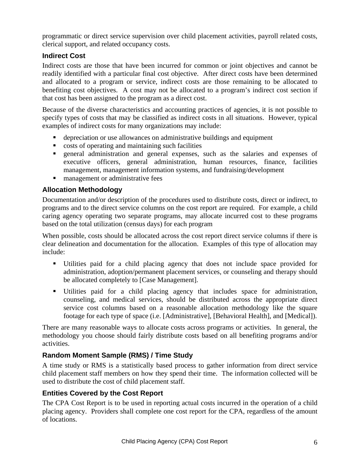programmatic or direct service supervision over child placement activities, payroll related costs, clerical support, and related occupancy costs.

#### **Indirect Cost**

Indirect costs are those that have been incurred for common or joint objectives and cannot be readily identified with a particular final cost objective. After direct costs have been determined and allocated to a program or service, indirect costs are those remaining to be allocated to benefiting cost objectives. A cost may not be allocated to a program's indirect cost section if that cost has been assigned to the program as a direct cost.

Because of the diverse characteristics and accounting practices of agencies, it is not possible to specify types of costs that may be classified as indirect costs in all situations. However, typical examples of indirect costs for many organizations may include:

- depreciation or use allowances on administrative buildings and equipment
- costs of operating and maintaining such facilities
- general administration and general expenses, such as the salaries and expenses of executive officers, general administration, human resources, finance, facilities management, management information systems, and fundraising/development
- **n** management or administrative fees

#### **Allocation Methodology**

Documentation and/or description of the procedures used to distribute costs, direct or indirect, to programs and to the direct service columns on the cost report are required. For example, a child caring agency operating two separate programs, may allocate incurred cost to these programs based on the total utilization (census days) for each program

When possible, costs should be allocated across the cost report direct service columns if there is clear delineation and documentation for the allocation. Examples of this type of allocation may include:

- Utilities paid for a child placing agency that does not include space provided for administration, adoption/permanent placement services, or counseling and therapy should be allocated completely to [Case Management].
- Utilities paid for a child placing agency that includes space for administration, counseling, and medical services, should be distributed across the appropriate direct service cost columns based on a reasonable allocation methodology like the square footage for each type of space (i.e. [Administrative], [Behavioral Health], and [Medical]).

There are many reasonable ways to allocate costs across programs or activities. In general, the methodology you choose should fairly distribute costs based on all benefiting programs and/or activities.

#### **Random Moment Sample (RMS) / Time Study**

A time study or RMS is a statistically based process to gather information from direct service child placement staff members on how they spend their time. The information collected will be used to distribute the cost of child placement staff.

## **Entities Covered by the Cost Report**

The CPA Cost Report is to be used in reporting actual costs incurred in the operation of a child placing agency. Providers shall complete one cost report for the CPA, regardless of the amount of locations.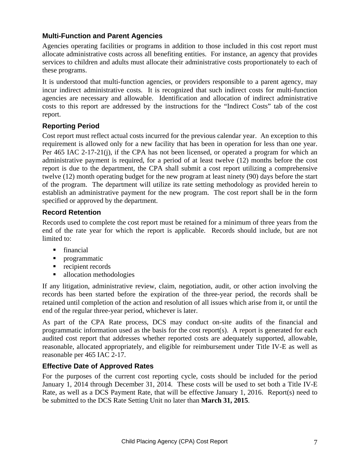#### **Multi-Function and Parent Agencies**

Agencies operating facilities or programs in addition to those included in this cost report must allocate administrative costs across all benefiting entities. For instance, an agency that provides services to children and adults must allocate their administrative costs proportionately to each of these programs.

It is understood that multi-function agencies, or providers responsible to a parent agency, may incur indirect administrative costs. It is recognized that such indirect costs for multi-function agencies are necessary and allowable. Identification and allocation of indirect administrative costs to this report are addressed by the instructions for the "Indirect Costs" tab of the cost report.

#### **Reporting Period**

Cost report must reflect actual costs incurred for the previous calendar year. An exception to this requirement is allowed only for a new facility that has been in operation for less than one year. Per 465 IAC 2-17-21(j), if the CPA has not been licensed, or operated a program for which an administrative payment is required, for a period of at least twelve (12) months before the cost report is due to the department, the CPA shall submit a cost report utilizing a comprehensive twelve (12) month operating budget for the new program at least ninety (90) days before the start of the program. The department will utilize its rate setting methodology as provided herein to establish an administrative payment for the new program. The cost report shall be in the form specified or approved by the department.

#### **Record Retention**

Records used to complete the cost report must be retained for a minimum of three years from the end of the rate year for which the report is applicable. Records should include, but are not limited to:

- **financial**
- **Perogrammatic**
- $\blacksquare$  recipient records
- allocation methodologies

If any litigation, administrative review, claim, negotiation, audit, or other action involving the records has been started before the expiration of the three-year period, the records shall be retained until completion of the action and resolution of all issues which arise from it, or until the end of the regular three-year period, whichever is later.

As part of the CPA Rate process, DCS may conduct on-site audits of the financial and programmatic information used as the basis for the cost report(s). A report is generated for each audited cost report that addresses whether reported costs are adequately supported, allowable, reasonable, allocated appropriately, and eligible for reimbursement under Title IV-E as well as reasonable per 465 IAC 2-17.

#### **Effective Date of Approved Rates**

For the purposes of the current cost reporting cycle, costs should be included for the period January 1, 2014 through December 31, 2014. These costs will be used to set both a Title IV-E Rate, as well as a DCS Payment Rate, that will be effective January 1, 2016. Report(s) need to be submitted to the DCS Rate Setting Unit no later than **March 31, 2015**.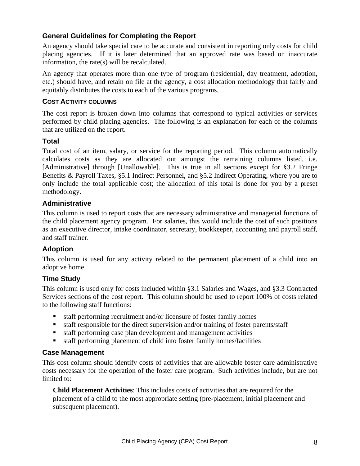#### **General Guidelines for Completing the Report**

An agency should take special care to be accurate and consistent in reporting only costs for child placing agencies. If it is later determined that an approved rate was based on inaccurate information, the rate(s) will be recalculated.

An agency that operates more than one type of program (residential, day treatment, adoption, etc.) should have, and retain on file at the agency, a cost allocation methodology that fairly and equitably distributes the costs to each of the various programs.

#### **COST ACTIVITY COLUMNS**

The cost report is broken down into columns that correspond to typical activities or services performed by child placing agencies. The following is an explanation for each of the columns that are utilized on the report.

#### **Total**

Total cost of an item, salary, or service for the reporting period. This column automatically calculates costs as they are allocated out amongst the remaining columns listed, i.e. [Administrative] through [Unallowable]. This is true in all sections except for §3.2 Fringe Benefits & Payroll Taxes, §5.1 Indirect Personnel, and §5.2 Indirect Operating, where you are to only include the total applicable cost; the allocation of this total is done for you by a preset methodology.

#### **Administrative**

This column is used to report costs that are necessary administrative and managerial functions of the child placement agency program. For salaries, this would include the cost of such positions as an executive director, intake coordinator, secretary, bookkeeper, accounting and payroll staff, and staff trainer.

#### **Adoption**

This column is used for any activity related to the permanent placement of a child into an adoptive home.

#### **Time Study**

This column is used only for costs included within §3.1 Salaries and Wages, and §3.3 Contracted Services sections of the cost report. This column should be used to report 100% of costs related to the following staff functions:

- staff performing recruitment and/or licensure of foster family homes
- staff responsible for the direct supervision and/or training of foster parents/staff
- staff performing case plan development and management activities
- staff performing placement of child into foster family homes/facilities

#### **Case Management**

This cost column should identify costs of activities that are allowable foster care administrative costs necessary for the operation of the foster care program. Such activities include, but are not limited to:

**Child Placement Activities**: This includes costs of activities that are required for the placement of a child to the most appropriate setting (pre-placement, initial placement and subsequent placement).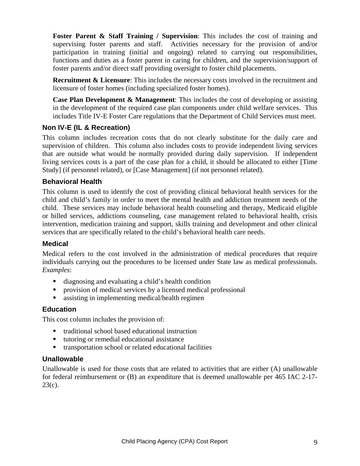**Foster Parent & Staff Training / Supervision**: This includes the cost of training and supervising foster parents and staff. Activities necessary for the provision of and/or participation in training (initial and ongoing) related to carrying out responsibilities, functions and duties as a foster parent in caring for children, and the supervision/support of foster parents and/or direct staff providing oversight to foster child placements.

**Recruitment & Licensure**: This includes the necessary costs involved in the recruitment and licensure of foster homes (including specialized foster homes).

**Case Plan Development & Management**: This includes the cost of developing or assisting in the development of the required case plan components under child welfare services. This includes Title IV-E Foster Care regulations that the Department of Child Services must meet.

#### **Non IV-E (IL & Recreation)**

This column includes recreation costs that do not clearly substitute for the daily care and supervision of children. This column also includes costs to provide independent living services that are outside what would be normally provided during daily supervision. If independent living services costs is a part of the case plan for a child, it should be allocated to either [Time Study] (if personnel related), or [Case Management] (if not personnel related).

#### **Behavioral Health**

This column is used to identify the cost of providing clinical behavioral health services for the child and child's family in order to meet the mental health and addiction treatment needs of the child. These services may include behavioral health counseling and therapy, Medicaid eligible or billed services, addictions counseling, case management related to behavioral health, crisis intervention, medication training and support, skills training and development and other clinical services that are specifically related to the child's behavioral health care needs.

#### **Medical**

Medical refers to the cost involved in the administration of medical procedures that require individuals carrying out the procedures to be licensed under State law as medical professionals. *Examples*:

- diagnosing and evaluating a child's health condition
- provision of medical services by a licensed medical professional
- assisting in implementing medical/health regimen

#### **Education**

This cost column includes the provision of:

- traditional school based educational instruction
- tutoring or remedial educational assistance
- transportation school or related educational facilities

#### **Unallowable**

Unallowable is used for those costs that are related to activities that are either (A) unallowable for federal reimbursement or (B) an expenditure that is deemed unallowable per 465 IAC 2-17-  $23(c)$ .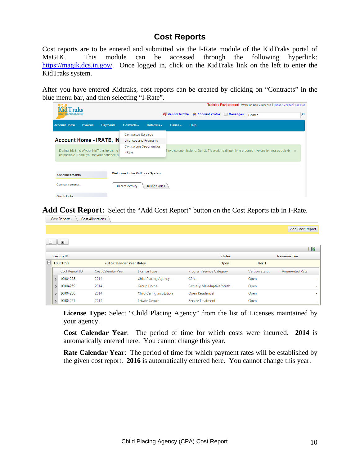## **Cost Reports**

Cost reports are to be entered and submitted via the I-Rate module of the KidTraks portal of MaGIK. This module can be accessed through the following hyperlink: https://magik.dcs.in.gov/. Once logged in, click on the KidTraks link on the left to enter the KidTraks system.

After you have entered Kidtraks, cost reports can be created by clicking on "Contracts" in the blue menu bar, and then selecting "I-Rate".

| <b>T</b> raks                   |                 |                                                                                              |                                            |                      |                            |                                               |                      | Training Environment   Welcome Corey Greenya   Change Vendor   Log Out                                      |   |
|---------------------------------|-----------------|----------------------------------------------------------------------------------------------|--------------------------------------------|----------------------|----------------------------|-----------------------------------------------|----------------------|-------------------------------------------------------------------------------------------------------------|---|
| part of the MaGIK family        |                 |                                                                                              |                                            |                      |                            | <b>Rail Vendor Profile 88 Account Profile</b> | $\boxtimes$ Messages | Search                                                                                                      | α |
| <b>Account Home</b>             | <b>Invoices</b> | <b>Payments</b>                                                                              | Contracts $\sim$                           | Referrals $\sim$     | $\text{Cases} \rightarrow$ | Help                                          |                      |                                                                                                             |   |
|                                 |                 |                                                                                              | <b>Contracted Services</b>                 |                      |                            |                                               |                      |                                                                                                             |   |
| <b>Account Home - IRATE, IN</b> |                 |                                                                                              | Licenses and Programs                      |                      |                            |                                               |                      |                                                                                                             |   |
|                                 |                 | During this time of year KidTraks Invoicing I<br>as possible. Thank you for your patience du | <b>Contracting Opportunities</b><br>I-Rate |                      |                            |                                               |                      | f invoice submissions. Our staff is working diligently to process invoices for you as quickly $\rightarrow$ |   |
| <b>Announcements</b>            |                 |                                                                                              | <b>Welcome to the KidTraks System</b>      |                      |                            |                                               |                      |                                                                                                             |   |
| 0 announcements                 |                 |                                                                                              | <b>Recent Activity</b>                     | <b>Billing Codes</b> |                            |                                               |                      |                                                                                                             |   |
| Quick Links                     |                 |                                                                                              |                                            |                      |                            |                                               |                      |                                                                                                             |   |

**Add Cost Report:** Select the "Add Cost Report" button on the Cost Reports tab in I-Rate.

|   |    | Cost Reports    | <b>Cost Allocations</b>  |                                 |                            |                       |                          |
|---|----|-----------------|--------------------------|---------------------------------|----------------------------|-----------------------|--------------------------|
|   |    |                 |                          |                                 |                            |                       | Add Cost Report          |
| ⊟ |    | $\pm$           |                          |                                 |                            |                       |                          |
|   |    |                 |                          |                                 |                            |                       | 圏                        |
|   |    | <b>Group ID</b> |                          |                                 | <b>Status</b>              |                       | <b>Revenue Tier</b>      |
| ⊡ |    | 10001099        | 2016 Calendar Year Rates |                                 | Open                       | Tier 1                |                          |
|   |    | Cost Report ID  | Cost Calendar Year       | License Type                    | Program Service Category   | <b>Version Status</b> | Augmented Rate           |
|   | ↘  | 10004258        | 2014                     | <b>Child Placing Agency</b>     | <b>CPA</b>                 | Open                  | ٠                        |
|   |    | 10004259        | 2014                     | Group Home                      | Sexually Maladaptive Youth | Open                  | ۰                        |
|   | s. | 10004260        | 2014                     | <b>Child Caring Institution</b> | Open Residential           | Open                  | $\sim$                   |
|   |    | 10004261        | 2014                     | <b>Private Secure</b>           | <b>Secure Treatment</b>    | Open                  | $\overline{\phantom{a}}$ |
|   |    |                 |                          |                                 |                            |                       |                          |

**License Type:** Select "Child Placing Agency" from the list of Licenses maintained by your agency.

**Cost Calendar Year**: The period of time for which costs were incurred. **2014** is automatically entered here. You cannot change this year.

**Rate Calendar Year**: The period of time for which payment rates will be established by the given cost report. **2016** is automatically entered here. You cannot change this year.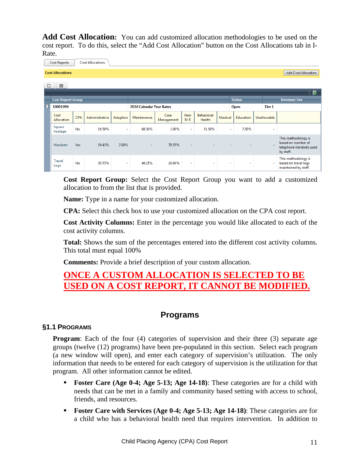**Add Cost Allocation:** You can add customized allocation methodologies to be used on the cost report. To do this, select the "Add Cost Allocation" button on the Cost Allocations tab in I-Rate.

|   | Cost Reports             |            | <b>Cost Allocations</b> |          |                          |                    |                      |                             |         |               |             |   |                                                                                   |
|---|--------------------------|------------|-------------------------|----------|--------------------------|--------------------|----------------------|-----------------------------|---------|---------------|-------------|---|-----------------------------------------------------------------------------------|
|   | <b>Cost Allocations</b>  |            |                         |          |                          |                    |                      |                             |         |               |             |   | <b>Add Cost Allocation</b>                                                        |
| ⊟ | $\pm$                    |            |                         |          |                          |                    |                      |                             |         |               |             |   |                                                                                   |
|   |                          |            |                         |          |                          |                    |                      |                             |         |               |             |   | 图                                                                                 |
|   | <b>Cost Report Group</b> |            |                         |          |                          |                    |                      |                             |         | <b>Status</b> |             |   | <b>Revenue Tier</b>                                                               |
| E | 10001099                 |            |                         |          | 2016 Calendar Year Rates |                    |                      |                             |         | Open          | Tier 1      |   |                                                                                   |
|   | Cost<br>Allocation       | <b>CPA</b> | Administrative          | Adoption | Maintenance              | Case<br>Management | <b>Non</b><br>$IV-E$ | <b>Behavioral</b><br>Health | Medical | Education     | Unallowable |   |                                                                                   |
|   | Square<br>Footage        | No         | 10.50%                  | ٠        | 68.50%                   | 2.00%              | ٠                    | 11.50%                      | ÷.      | 7.50%         |             | ۰ |                                                                                   |
|   | <b>Handsets</b>          | <b>Yes</b> | 19.45%                  | 2.00%    | $\sim$                   | 78.55%             | $\sim$               |                             |         |               |             |   | This methodology is<br>based on number of<br>telephone handsets used<br>by staff. |
|   | <b>Travel</b><br>Logs    | No         | 35.75%                  | ٠        | 46.25%                   | 18.00%             | $\overline{a}$       | ٠                           | ٠       | $\sim$        |             |   | This methodology is<br>based on travel logs<br>maintained by staff.               |

**Cost Report Group:** Select the Cost Report Group you want to add a customized allocation to from the list that is provided.

**Name:** Type in a name for your customized allocation.

**CPA:** Select this check box to use your customized allocation on the CPA cost report.

**Cost Activity Columns:** Enter in the percentage you would like allocated to each of the cost activity columns.

**Total:** Shows the sum of the percentages entered into the different cost activity columns. This total must equal 100%

**Comments:** Provide a brief description of your custom allocation.

## **ONCE A CUSTOM ALLOCATION IS SELECTED TO BE USED ON A COST REPORT, IT CANNOT BE MODIFIED.**

## **Programs**

#### **§1.1 PROGRAMS**

**Program**: Each of the four (4) categories of supervision and their three (3) separate age groups (twelve (12) programs) have been pre-populated in this section. Select each program (a new window will open), and enter each category of supervision's utilization. The only information that needs to be entered for each category of supervision is the utilization for that program. All other information cannot be edited.

- **Foster Care (Age 0-4; Age 5-13; Age 14-18)**: These categories are for a child with needs that can be met in a family and community based setting with access to school, friends, and resources.
- **Foster Care with Services (Age 0-4; Age 5-13; Age 14-18)**: These categories are for a child who has a behavioral health need that requires intervention. In addition to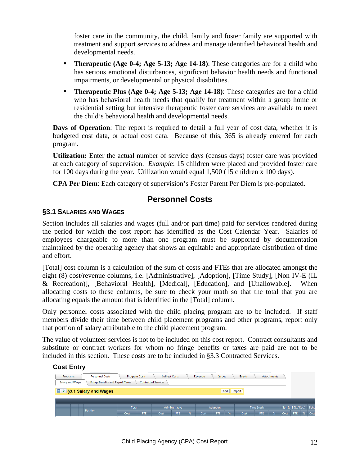foster care in the community, the child, family and foster family are supported with treatment and support services to address and manage identified behavioral health and developmental needs.

- **Therapeutic (Age 0-4; Age 5-13; Age 14-18)**: These categories are for a child who has serious emotional disturbances, significant behavior health needs and functional impairments, or developmental or physical disabilities.
- **Therapeutic Plus (Age 0-4; Age 5-13; Age 14-18)**: These categories are for a child who has behavioral health needs that qualify for treatment within a group home or residential setting but intensive therapeutic foster care services are available to meet the child's behavioral health and developmental needs.

**Days of Operation**: The report is required to detail a full year of cost data, whether it is budgeted cost data, or actual cost data. Because of this, 365 is already entered for each program.

**Utilization:** Enter the actual number of service days (census days) foster care was provided at each category of supervision. *Example*: 15 children were placed and provided foster care for 100 days during the year. Utilization would equal 1,500 (15 children x 100 days).

**CPA Per Diem**: Each category of supervision's Foster Parent Per Diem is pre-populated.

## **Personnel Costs**

#### **§3.1 SALARIES AND WAGES**

Section includes all salaries and wages (full and/or part time) paid for services rendered during the period for which the cost report has identified as the Cost Calendar Year. Salaries of employees chargeable to more than one program must be supported by documentation maintained by the operating agency that shows an equitable and appropriate distribution of time and effort.

[Total] cost column is a calculation of the sum of costs and FTEs that are allocated amongst the eight (8) cost/revenue columns, i.e. [Administrative], [Adoption], [Time Study], [Non IV-E (IL & Recreation)], [Behavioral Health], [Medical], [Education], and [Unallowable]. When allocating costs to these columns, be sure to check your math so that the total that you are allocating equals the amount that is identified in the [Total] column.

Only personnel costs associated with the child placing program are to be included. If staff members divide their time between child placement programs and other programs, report only that portion of salary attributable to the child placement program.

The value of volunteer services is not to be included on this cost report. Contract consultants and substitute or contract workers for whom no fringe benefits or taxes are paid are not to be included in this section. These costs are to be included in §3.3 Contracted Services.

#### **Cost Entry**

| Programs                               | <b>Personnel Costs</b>                   | <b>Program Costs</b> |     | <b>Indirect Costs</b>      |                |               | Revenue | <b>Issues</b>   |   | Events |                   | Attachments   |      |                      |   |      |
|----------------------------------------|------------------------------------------|----------------------|-----|----------------------------|----------------|---------------|---------|-----------------|---|--------|-------------------|---------------|------|----------------------|---|------|
| Salary and Wages                       | <b>Fringe Benefits and Payroll Taxes</b> |                      |     | <b>Contracted Services</b> |                |               |         |                 |   |        |                   |               |      |                      |   |      |
| S3.1 Salary and Wages<br>Add<br>Import |                                          |                      |     |                            |                |               |         |                 |   |        |                   |               |      |                      |   |      |
|                                        |                                          |                      |     |                            |                |               |         |                 |   |        |                   |               |      |                      |   |      |
|                                        | Position                                 | <b>Total</b>         |     |                            | Administrative |               |         | <b>Adoption</b> |   |        | <b>Time Study</b> |               |      | Non IV-E (IL / Rec.) |   | Beha |
|                                        |                                          | Cost                 | FTE | Cost                       | FTE            | $\frac{9}{6}$ | Cost    | FTE <sup></sup> | % | Cost   | <b>FTE</b>        | $\frac{9}{6}$ | Cost | FTE                  | % | Cost |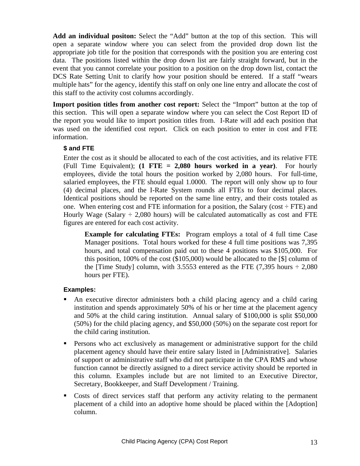**Add an individual positon:** Select the "Add" button at the top of this section. This will open a separate window where you can select from the provided drop down list the appropriate job title for the position that corresponds with the position you are entering cost data. The positions listed within the drop down list are fairly straight forward, but in the event that you cannot correlate your position to a position on the drop down list, contact the DCS Rate Setting Unit to clarify how your position should be entered. If a staff "wears multiple hats" for the agency, identify this staff on only one line entry and allocate the cost of this staff to the activity cost columns accordingly.

**Import position titles from another cost report:** Select the "Import" button at the top of this section. This will open a separate window where you can select the Cost Report ID of the report you would like to import position titles from. I-Rate will add each position that was used on the identified cost report. Click on each position to enter in cost and FTE information.

#### **\$ and FTE**

Enter the cost as it should be allocated to each of the cost activities, and its relative FTE (Full Time Equivalent); **(1 FTE = 2,080 hours worked in a year)**. For hourly employees, divide the total hours the position worked by 2,080 hours. For full-time, salaried employees, the FTE should equal 1.0000. The report will only show up to four (4) decimal places, and the I-Rate System rounds all FTEs to four decimal places. Identical positions should be reported on the same line entry, and their costs totaled as one. When entering cost and FTE information for a position, the Salary (cost  $\div$  FTE) and Hourly Wage (Salary  $\div$  2,080 hours) will be calculated automatically as cost and FTE figures are entered for each cost activity.

**Example for calculating FTEs:** Program employs a total of 4 full time Case Manager positions. Total hours worked for these 4 full time positions was 7,395 hours, and total compensation paid out to these 4 positions was \$105,000. For this position, 100% of the cost (\$105,000) would be allocated to the [\$] column of the [Time Study] column, with 3.5553 entered as the FTE  $(7,395$  hours  $\div 2,080$ hours per FTE).

#### **Examples:**

- An executive director administers both a child placing agency and a child caring institution and spends approximately 50% of his or her time at the placement agency and 50% at the child caring institution. Annual salary of \$100,000 is split \$50,000 (50%) for the child placing agency, and \$50,000 (50%) on the separate cost report for the child caring institution.
- Persons who act exclusively as management or administrative support for the child placement agency should have their entire salary listed in [Administrative]. Salaries of support or administrative staff who did not participate in the CPA RMS and whose function cannot be directly assigned to a direct service activity should be reported in this column. Examples include but are not limited to an Executive Director, Secretary, Bookkeeper, and Staff Development / Training.
- Costs of direct services staff that perform any activity relating to the permanent placement of a child into an adoptive home should be placed within the [Adoption] column.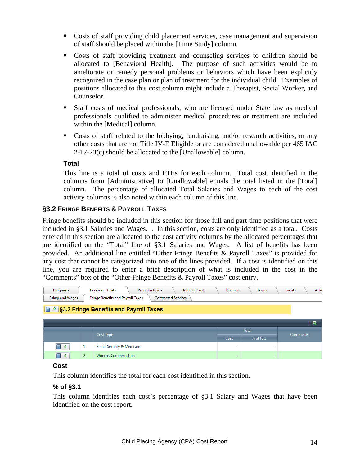- Costs of staff providing child placement services, case management and supervision of staff should be placed within the [Time Study] column.
- Costs of staff providing treatment and counseling services to children should be allocated to [Behavioral Health]. The purpose of such activities would be to ameliorate or remedy personal problems or behaviors which have been explicitly recognized in the case plan or plan of treatment for the individual child. Examples of positions allocated to this cost column might include a Therapist, Social Worker, and Counselor.
- Staff costs of medical professionals, who are licensed under State law as medical professionals qualified to administer medical procedures or treatment are included within the [Medical] column.
- Costs of staff related to the lobbying, fundraising, and/or research activities, or any other costs that are not Title IV-E Eligible or are considered unallowable per 465 IAC 2-17-23(c) should be allocated to the [Unallowable] column.

#### **Total**

This line is a total of costs and FTEs for each column. Total cost identified in the columns from [Administrative] to [Unallowable] equals the total listed in the [Total] column. The percentage of allocated Total Salaries and Wages to each of the cost activity columns is also noted within each column of this line.

#### **§3.2 FRINGE BENEFITS & PAYROLL TAXES**

Fringe benefits should be included in this section for those full and part time positions that were included in §3.1 Salaries and Wages. . In this section, costs are only identified as a total. Costs entered in this section are allocated to the cost activity columns by the allocated percentages that are identified on the "Total" line of §3.1 Salaries and Wages. A list of benefits has been provided. An additional line entitled "Other Fringe Benefits & Payroll Taxes" is provided for any cost that cannot be categorized into one of the lines provided. If a cost is identified on this line, you are required to enter a brief description of what is included in the cost in the "Comments" box of the "Other Fringe Benefits & Payroll Taxes" cost entry.

| Programs         |   | <b>Indirect Costs</b><br><b>Personnel Costs</b><br><b>Program Costs</b> | Revenue | <b>Issues</b>            | Events          | Atta |
|------------------|---|-------------------------------------------------------------------------|---------|--------------------------|-----------------|------|
| Salary and Wages |   | <b>Contracted Services</b><br><b>Fringe Benefits and Payroll Taxes</b>  |         |                          |                 |      |
|                  |   | <b>S3.2 Fringe Benefits and Payroll Taxes</b>                           |         |                          |                 |      |
|                  |   |                                                                         |         |                          |                 | 図    |
|                  |   |                                                                         |         | <b>Total</b>             |                 |      |
|                  |   | Cost Type                                                               | Cost    | % of §3.1                | <b>Comments</b> |      |
| 盲<br>$\bf{0}$    | 1 | Social Security & Medicare                                              | ٠       | $\overline{\phantom{a}}$ |                 |      |
| $\bf{0}$         |   | <b>Workers Compensation</b>                                             | $\sim$  | $\sim$                   |                 |      |

#### **Cost**

This column identifies the total for each cost identified in this section.

#### **% of §3.1**

This column identifies each cost's percentage of §3.1 Salary and Wages that have been identified on the cost report.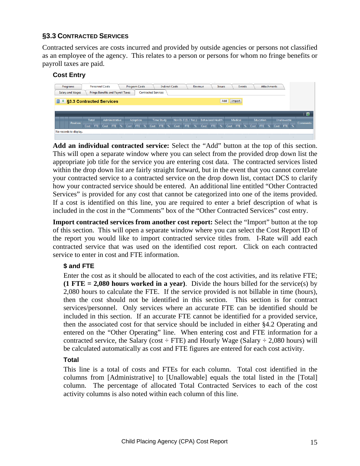#### **§3.3 CONTRACTED SERVICES**

Contracted services are costs incurred and provided by outside agencies or persons not classified as an employee of the agency. This relates to a person or persons for whom no fringe benefits or payroll taxes are paid.

#### **Cost Entry**



**Add an individual contracted service:** Select the "Add" button at the top of this section. This will open a separate window where you can select from the provided drop down list the appropriate job title for the service you are entering cost data. The contracted services listed within the drop down list are fairly straight forward, but in the event that you cannot correlate your contracted service to a contracted service on the drop down list, contact DCS to clarify how your contracted service should be entered. An additional line entitled "Other Contracted Services" is provided for any cost that cannot be categorized into one of the items provided. If a cost is identified on this line, you are required to enter a brief description of what is included in the cost in the "Comments" box of the "Other Contracted Services" cost entry.

**Import contracted services from another cost report:** Select the "Import" button at the top of this section. This will open a separate window where you can select the Cost Report ID of the report you would like to import contracted service titles from. I-Rate will add each contracted service that was used on the identified cost report. Click on each contracted service to enter in cost and FTE information.

#### **\$ and FTE**

Enter the cost as it should be allocated to each of the cost activities, and its relative FTE; **(1 FTE = 2,080 hours worked in a year)**. Divide the hours billed for the service(s) by 2,080 hours to calculate the FTE. If the service provided is not billable in time (hours), then the cost should not be identified in this section. This section is for contract services/personnel. Only services where an accurate FTE can be identified should be included in this section. If an accurate FTE cannot be identified for a provided service, then the associated cost for that service should be included in either §4.2 Operating and entered on the "Other Operating" line. When entering cost and FTE information for a contracted service, the Salary (cost  $\div$  FTE) and Hourly Wage (Salary  $\div$  2,080 hours) will be calculated automatically as cost and FTE figures are entered for each cost activity.

#### **Total**

This line is a total of costs and FTEs for each column. Total cost identified in the columns from [Administrative] to [Unallowable] equals the total listed in the [Total] column. The percentage of allocated Total Contracted Services to each of the cost activity columns is also noted within each column of this line.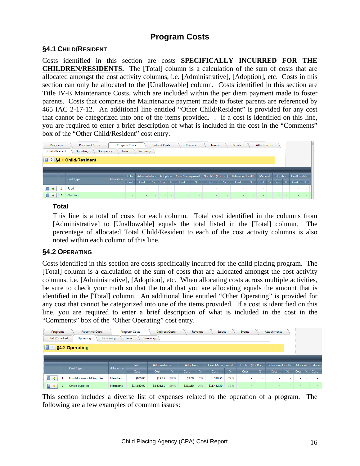## **Program Costs**

#### **§4.1 CHILD/RESIDENT**

Costs identified in this section are costs **SPECIFICALLY INCURRED FOR THE CHILDREN/RESIDENTS.** The [Total] column is a calculation of the sum of costs that are allocated amongst the cost activity columns, i.e. [Administrative], [Adoption], etc. Costs in this section can only be allocated to the [Unallowable] column. Costs identified in this section are Title IV-E Maintenance Costs, which are included within the per diem payment made to foster parents. Costs that comprise the Maintenance payment made to foster parents are referenced by 465 IAC 2-17-12. An additional line entitled "Other Child/Resident" is provided for any cost that cannot be categorized into one of the items provided. . If a cost is identified on this line, you are required to enter a brief description of what is included in the cost in the "Comments" box of the "Other Child/Resident" cost entry.



#### **Total**

This line is a total of costs for each column. Total cost identified in the columns from [Administrative] to [Unallowable] equals the total listed in the [Total] column. The percentage of allocated Total Child/Resident to each of the cost activity columns is also noted within each column of this line.

#### **§4.2 OPERATING**

Costs identified in this section are costs specifically incurred for the child placing program. The [Total] column is a calculation of the sum of costs that are allocated amongst the cost activity columns, i.e. [Administrative], [Adoption], etc. When allocating costs across multiple activities, be sure to check your math so that the total that you are allocating equals the amount that is identified in the [Total] column. An additional line entitled "Other Operating" is provided for any cost that cannot be categorized into one of the items provided. If a cost is identified on this line, you are required to enter a brief description of what is included in the cost in the "Comments" box of the "Other Operating" cost entry.

| Programs       | <b>Personnel Costs</b>                      |                 | <b>Program Costs</b> | <b>Indirect Costs</b> |     |          | Revenue | Issues          |      | Events                   |                          | <b>Attachments</b>       |        |         |                          |        |
|----------------|---------------------------------------------|-----------------|----------------------|-----------------------|-----|----------|---------|-----------------|------|--------------------------|--------------------------|--------------------------|--------|---------|--------------------------|--------|
| Child/Resident | Operating                                   | Occupancy       | <b>Travel</b>        | Summary               |     |          |         |                 |      |                          |                          |                          |        |         |                          |        |
|                | $\Box$ $\Omega$ S <sub>4</sub> .2 Operating |                 |                      |                       |     |          |         |                 |      |                          |                          |                          |        |         |                          |        |
|                |                                             |                 |                      |                       |     |          |         |                 |      |                          |                          |                          |        |         |                          |        |
|                |                                             |                 | Total                | Administrative        |     | Adoption |         | Case Management |      | Non IV-E (IL / Rec.)     |                          | <b>Behavioral Health</b> |        | Medical |                          | Educat |
|                | Cost Type                                   | Allocation      | Cost                 | Cost                  | %   | Cost     | %       | Cost            | %    | Cost                     | %                        | Cost                     | %      | Cost    | %                        | Cost   |
| f<br>$\bf{0}$  | <b>Food/Household Supplies</b>              | Handsets        | \$100.00             | \$19.45               | 19% | \$2.00   | 2%      | \$78.55         | 79 % | $\overline{\phantom{a}}$ | $\overline{\phantom{a}}$ | $\overline{\phantom{a}}$ | $\sim$ | $\sim$  | $\overline{\phantom{a}}$ |        |
| F<br>$\bf{0}$  | <b>Office Supplies</b>                      | <b>Handsets</b> | \$14,580.00          | \$2,835.81            | 19% | \$291.60 | 2%      | \$11,452.59     | 79 % | $\overline{\phantom{a}}$ |                          |                          |        |         |                          |        |

This section includes a diverse list of expenses related to the operation of a program. The following are a few examples of common issues: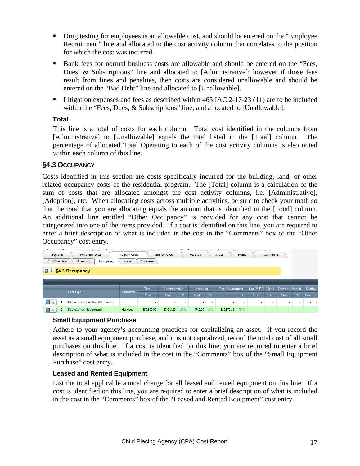- Drug testing for employees is an allowable cost, and should be entered on the "Employee" Recruitment" line and allocated to the cost activity column that correlates to the position for which the cost was incurred.
- Bank fees for normal business costs are allowable and should be entered on the "Fees, Dues, & Subscriptions" line and allocated to [Administrative]; however if those fees result from fines and penalties, then costs are considered unallowable and should be entered on the "Bad Debt" line and allocated to [Unallowable].
- **Example 1** Litigation expenses and fees as described within 465 IAC 2-17-23 (11) are to be included within the "Fees, Dues, & Subscriptions" line, and allocated to [Unallowable].

#### **Total**

This line is a total of costs for each column. Total cost identified in the columns from [Administrative] to [Unallowable] equals the total listed in the [Total] column. The percentage of allocated Total Operating to each of the cost activity columns is also noted within each column of this line.

#### **§4.3 OCCUPANCY**

Costs identified in this section are costs specifically incurred for the building, land, or other related occupancy costs of the residential program. The [Total] column is a calculation of the sum of costs that are allocated amongst the cost activity columns, i.e. [Administrative], [Adoption], etc. When allocating costs across multiple activities, be sure to check your math so that the total that you are allocating equals the amount that is identified in the [Total] column. An additional line entitled "Other Occupancy" is provided for any cost that cannot be categorized into one of the items provided. If a cost is identified on this line, you are required to enter a brief description of what is included in the cost in the "Comments" box of the "Other Occupancy" cost entry.

| <b>The product we are a considered and considered</b><br>Programs<br>Child/Resident |   | -------<br><b>Personnel Costs</b><br>Operating<br>Occupancy | -----------------------------<br><b>Program Costs</b><br>Travel | Summary                  | with a communication of the communications<br><b>Indirect Costs</b> |     | Revenue                  | <b>State Ave</b> | <b>Issues</b>            | Events |                      | $    -$<br><b>Attachments</b> |                          |   |         |               |
|-------------------------------------------------------------------------------------|---|-------------------------------------------------------------|-----------------------------------------------------------------|--------------------------|---------------------------------------------------------------------|-----|--------------------------|------------------|--------------------------|--------|----------------------|-------------------------------|--------------------------|---|---------|---------------|
| <b>同 0</b>                                                                          |   | §4.3 Occupancy                                              |                                                                 |                          |                                                                     |     |                          |                  |                          |        |                      |                               |                          |   |         |               |
|                                                                                     |   |                                                             |                                                                 |                          |                                                                     |     |                          |                  |                          |        |                      |                               |                          |   |         |               |
|                                                                                     |   | Cost Type                                                   | Allocation                                                      | Total                    | Administrative                                                      |     | Adoption                 |                  | Case Management          |        | Non IV-E (IL / Rec.) |                               | <b>Behavioral Health</b> |   | Medical |               |
|                                                                                     |   |                                                             |                                                                 | Cost                     | Cost                                                                | %   | Cost                     | $\frac{9}{6}$    | Cost                     | %      | Cost                 | %                             | Cost                     | % | Cost    | $\frac{9}{6}$ |
| Ē<br>$\bf{0}$                                                                       | 1 | Depreciation (Building & Grounds)                           |                                                                 | $\overline{\phantom{a}}$ | $\sim$                                                              |     | $\overline{\phantom{a}}$ | $\sim$           | $\overline{\phantom{a}}$ | $\sim$ | $\sim$               | $\sim$                        | ٠                        |   |         | $\sim$        |
| F<br>$\bf{0}$                                                                       |   | <b>Depreciation (Equipment)</b>                             | Handsets                                                        | \$39,300.00              | \$7,643.85                                                          | 19% | \$786.00                 | 2%               | \$30,870.15              | 79 %   |                      |                               |                          |   |         |               |

#### **Small Equipment Purchase**

Adhere to your agency's accounting practices for capitalizing an asset. If you record the asset as a small equipment purchase, and it is not capitalized, record the total cost of all small purchases on this line. If a cost is identified on this line, you are required to enter a brief description of what is included in the cost in the "Comments" box of the "Small Equipment Purchase" cost entry.

#### **Leased and Rented Equipment**

List the total applicable annual charge for all leased and rented equipment on this line. If a cost is identified on this line, you are required to enter a brief description of what is included in the cost in the "Comments" box of the "Leased and Rented Equipment" cost entry.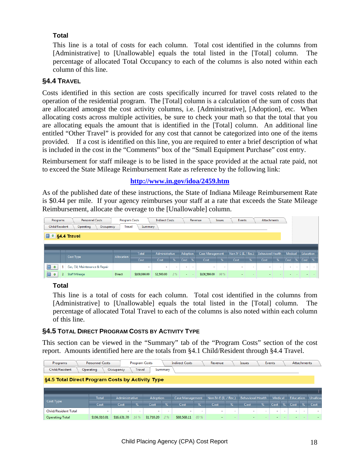#### **Total**

This line is a total of costs for each column. Total cost identified in the columns from [Administrative] to [Unallowable] equals the total listed in the [Total] column. The percentage of allocated Total Occupancy to each of the columns is also noted within each column of this line.

#### **§4.4 TRAVEL**

Costs identified in this section are costs specifically incurred for travel costs related to the operation of the residential program. The [Total] column is a calculation of the sum of costs that are allocated amongst the cost activity columns, i.e. [Administrative], [Adoption], etc. When allocating costs across multiple activities, be sure to check your math so that the total that you are allocating equals the amount that is identified in the [Total] column. An additional line entitled "Other Travel" is provided for any cost that cannot be categorized into one of the items provided. If a cost is identified on this line, you are required to enter a brief description of what is included in the cost in the "Comments" box of the "Small Equipment Purchase" cost entry.

Reimbursement for staff mileage is to be listed in the space provided at the actual rate paid, not to exceed the State Mileage Reimbursement Rate as reference by the following link:

#### **http://www.in.gov/idoa/2459.htm**

As of the published date of these instructions, the State of Indiana Mileage Reimbursement Rate is \$0.44 per mile. If your agency reimburses your staff at a rate that exceeds the State Mileage Reimbursement, allocate the overage to the [Unallowable] column.

| Programs       |    | <b>Personnel Costs</b>         | <b>Program Costs</b> |         | <b>Indirect Costs</b> |                          |                          | Revenue       |                 | <b>Issues</b> | Events                   |                          | Attachments              |        |         |        |           |        |
|----------------|----|--------------------------------|----------------------|---------|-----------------------|--------------------------|--------------------------|---------------|-----------------|---------------|--------------------------|--------------------------|--------------------------|--------|---------|--------|-----------|--------|
| Child/Resident |    | Operating<br>Occupancy         | Travel               | Summary |                       |                          |                          |               |                 |               |                          |                          |                          |        |         |        |           |        |
|                |    | <b>1 6 §4.4</b> Travel         |                      |         |                       |                          |                          |               |                 |               |                          |                          |                          |        |         |        |           |        |
|                |    |                                |                      |         |                       |                          |                          |               |                 |               |                          |                          |                          |        |         |        |           |        |
|                |    |                                |                      | Total   | Administrative        |                          | Adoption                 |               | Case Management |               | Non IV-E (IL / Rec.)     |                          | <b>Behavioral Health</b> |        | Medical |        | Education |        |
|                |    | Cost Type                      | Allocation           | Cost    | Cost                  | $\%$                     | Cost                     | $\frac{9}{6}$ | Cost            | %             | Cost                     | %                        | Cost                     | %      | Cost    | %      | Cost      | $\%$   |
|                |    |                                |                      |         |                       |                          |                          |               |                 |               |                          |                          |                          |        |         |        |           |        |
| F<br>$\bf{0}$  | -1 | Gas, Oil, Maintenance & Repair |                      | $\sim$  | ٠                     | $\overline{\phantom{a}}$ | $\overline{\phantom{0}}$ | $\sim$        | $\sim$          | $\sim$        | $\overline{\phantom{0}}$ | $\overline{\phantom{a}}$ | $\blacksquare$           | $\sim$ |         | $\sim$ | $\sim$    | $\sim$ |

#### **Total**

This line is a total of costs for each column. Total cost identified in the columns from [Administrative] to [Unallowable] equals the total listed in the [Total] column. The percentage of allocated Total Travel to each of the columns is also noted within each column of this line.

#### **§4.5 TOTAL DIRECT PROGRAM COSTS BY ACTIVITY TYPE**

This section can be viewed in the "Summary" tab of the "Program Costs" section of the cost report. Amounts identified here are the totals from §4.1 Child/Resident through §4.4 Travel.

| Programs                                         | <b>Personnel Costs</b> |                          | <b>Program Costs</b>     |          |                          | <b>Indirect Costs</b>    |        | Revenue                  |        | Issues                   |                          | <b>Events</b> |   |           | <b>Attachments</b>       |         |
|--------------------------------------------------|------------------------|--------------------------|--------------------------|----------|--------------------------|--------------------------|--------|--------------------------|--------|--------------------------|--------------------------|---------------|---|-----------|--------------------------|---------|
| Child/Resident                                   | Operating              | Occupancy                | Travel                   |          | Summary                  |                          |        |                          |        |                          |                          |               |   |           |                          |         |
| §4.5 Total Direct Program Costs by Activity Type |                        |                          |                          |          |                          |                          |        |                          |        |                          |                          |               |   |           |                          |         |
|                                                  |                        |                          |                          |          |                          |                          |        |                          |        |                          |                          |               |   |           |                          |         |
|                                                  | Total                  | Administrative           |                          | Adoption |                          | Case Management          |        | Non IV-E (IL / Rec.)     |        | <b>Behavioral Health</b> |                          | Medical       |   | Education |                          | Unallow |
| Cost Type                                        | Cost                   | Cost                     | %                        | Cost     | $\%$                     | Cost                     | %      | Cost                     | %      | Cost                     | $\frac{9}{6}$            | Cost          | % | Cost      | %                        | Cost    |
| <b>Child/Resident Total</b>                      | -                      | $\overline{\phantom{a}}$ | $\overline{\phantom{a}}$ |          | $\overline{\phantom{a}}$ | $\overline{\phantom{a}}$ | $\sim$ | $\overline{\phantom{a}}$ | $\sim$ | $\sim$                   | $\overline{\phantom{a}}$ |               |   |           | $\overline{\phantom{a}}$ |         |
|                                                  |                        |                          |                          |          |                          |                          |        |                          |        |                          |                          |               |   |           |                          |         |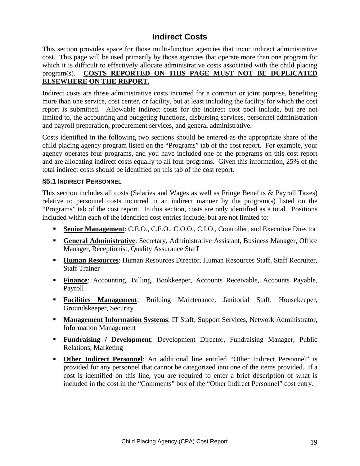## **Indirect Costs**

This section provides space for those multi-function agencies that incur indirect administrative cost. This page will be used primarily by those agencies that operate more than one program for which it is difficult to effectively allocate administrative costs associated with the child placing program(s). **COSTS REPORTED ON THIS PAGE MUST NOT BE DUPLICATED ELSEWHERE ON THE REPORT.** 

Indirect costs are those administrative costs incurred for a common or joint purpose, benefiting more than one service, cost center, or facility, but at least including the facility for which the cost report is submitted. Allowable indirect costs for the indirect cost pool include, but are not limited to, the accounting and budgeting functions, disbursing services, personnel administration and payroll preparation, procurement services, and general administrative.

Costs identified in the following two sections should be entered as the appropriate share of the child placing agency program listed on the "Programs" tab of the cost report. For example, your agency operates four programs, and you have included one of the programs on this cost report and are allocating indirect costs equally to all four programs. Given this information, 25% of the total indirect costs should be identified on this tab of the cost report.

#### **§5.1 INDIRECT PERSONNEL**

This section includes all costs (Salaries and Wages as well as Fringe Benefits & Payroll Taxes) relative to personnel costs incurred in an indirect manner by the program(s) listed on the "Programs" tab of the cost report. In this section, costs are only identified as a total. Positions included within each of the identified cost entries include, but are not limited to:

- **Senior Management**: C.E.O., C.F.O., C.O.O., C.I.O., Controller, and Executive Director
- **General Administrative**: Secretary, Administrative Assistant, Business Manager, Office Manager, Receptionist, Quality Assurance Staff
- **Human Resources:** Human Resources Director, Human Resources Staff, Staff Recruiter, Staff Trainer
- **Finance:** Accounting, Billing, Bookkeeper, Accounts Receivable, Accounts Payable, Payroll
- **Facilities Management**: Building Maintenance, Janitorial Staff, Housekeeper, Groundskeeper, Security
- **Management Information Systems: IT Staff, Support Services, Network Administrator,** Information Management
- **Fundraising / Development:** Development Director, Fundraising Manager, Public Relations, Marketing
- **Other Indirect Personnel**: An additional line entitled "Other Indirect Personnel" is provided for any personnel that cannot be categorized into one of the items provided. If a cost is identified on this line, you are required to enter a brief description of what is included in the cost in the "Comments" box of the "Other Indirect Personnel" cost entry.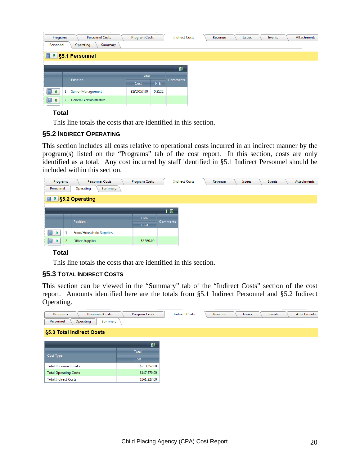| Programs           | <b>Personnel Costs</b> | Program Costs |                          | <b>Indirect Costs</b> | Revenue | Issues | Events | Attachments |
|--------------------|------------------------|---------------|--------------------------|-----------------------|---------|--------|--------|-------------|
| Personnel          | Operating<br>Summary   |               |                          |                       |         |        |        |             |
|                    | <b>85.1 Personnel</b>  |               |                          |                       |         |        |        |             |
|                    |                        |               |                          | 國                     |         |        |        |             |
|                    |                        |               |                          |                       |         |        |        |             |
|                    | Position               | Total         |                          | Comments              |         |        |        |             |
|                    |                        | Cost          | FTE:                     |                       |         |        |        |             |
| $\mathbf{0}$<br>л. | Senior Management      | \$132,057.00  | 0.3122                   |                       |         |        |        |             |
| 盲<br>$\bf{0}$      | General Administrative | $\sim$        | $\overline{\phantom{a}}$ |                       |         |        |        |             |

#### **Total**

This line totals the costs that are identified in this section.

#### **§5.2 INDIRECT OPERATING**

This section includes all costs relative to operational costs incurred in an indirect manner by the program(s) listed on the "Programs" tab of the cost report. In this section, costs are only identified as a total. Any cost incurred by staff identified in §5.1 Indirect Personnel should be included within this section.

| Programs           | Personnel Costs                | Program Costs | <b>Indirect Costs</b> | Revenue | Issues | Events | <b>Attachments</b> |
|--------------------|--------------------------------|---------------|-----------------------|---------|--------|--------|--------------------|
| Personnel          | Operating<br>Summary           |               |                       |         |        |        |                    |
|                    | <b>85.2 Operating</b>          |               |                       |         |        |        |                    |
|                    |                                |               | 图                     |         |        |        |                    |
|                    | Position                       | Total         | <b>Comments</b>       |         |        |        |                    |
|                    |                                | Cost          |                       |         |        |        |                    |
| 1<br>$\bf{0}$      | <b>Food/Household Supplies</b> |               |                       |         |        |        |                    |
| f<br>2<br>$\bf{0}$ | <b>Office Supplies</b>         | \$2,580.00    |                       |         |        |        |                    |

#### **Total**

This line totals the costs that are identified in this section.

#### **§5.3 TOTAL INDIRECT COSTS**

This section can be viewed in the "Summary" tab of the "Indirect Costs" section of the cost report. Amounts identified here are the totals from §5.1 Indirect Personnel and §5.2 Indirect Operating.

| <b>Personnel Costs</b><br>Programs | Program Costs | <b>Indirect Costs</b> | Revenue | Issues | Events | Attachments |
|------------------------------------|---------------|-----------------------|---------|--------|--------|-------------|
| Operating<br>Personnel<br>Summary  |               |                       |         |        |        |             |
| §5.3 Total Indirect Costs          |               |                       |         |        |        |             |
|                                    | 图             |                       |         |        |        |             |
|                                    |               |                       |         |        |        |             |
| Cost Type                          | Total         |                       |         |        |        |             |
|                                    | Cost          |                       |         |        |        |             |
| <b>Total Personnel Costs</b>       | \$213,857.00  |                       |         |        |        |             |
| <b>Total Operating Costs</b>       | \$147,370.00  |                       |         |        |        |             |
| <b>Total Indirect Costs</b>        | \$361,227.00  |                       |         |        |        |             |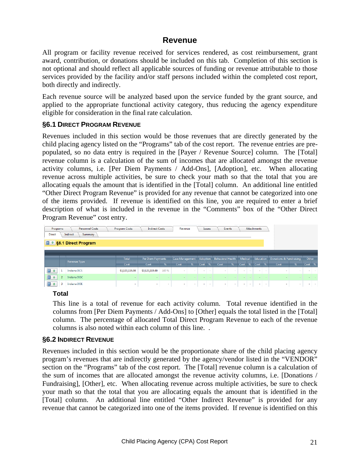## **Revenue**

All program or facility revenue received for services rendered, as cost reimbursement, grant award, contribution, or donations should be included on this tab. Completion of this section is not optional and should reflect all applicable sources of funding or revenue attributable to those services provided by the facility and/or staff persons included within the completed cost report, both directly and indirectly.

Each revenue source will be analyzed based upon the service funded by the grant source, and applied to the appropriate functional activity category, thus reducing the agency expenditure eligible for consideration in the final rate calculation.

#### **§6.1 DIRECT PROGRAM REVENUE**

Revenues included in this section would be those revenues that are directly generated by the child placing agency listed on the "Programs" tab of the cost report. The revenue entries are prepopulated, so no data entry is required in the [Payer / Revenue Source] column. The [Total] revenue column is a calculation of the sum of incomes that are allocated amongst the revenue activity columns, i.e. [Per Diem Payments / Add-Ons], [Adoption], etc. When allocating revenue across multiple activities, be sure to check your math so that the total that you are allocating equals the amount that is identified in the [Total] column. An additional line entitled "Other Direct Program Revenue" is provided for any revenue that cannot be categorized into one of the items provided. If revenue is identified on this line, you are required to enter a brief description of what is included in the revenue in the "Comments" box of the "Other Direct Program Revenue" cost entry.

| Programs<br><b>Direct</b> |   | <b>Personnel Costs</b><br>Indirect<br>Summary | Program Costs  | <b>Indirect Costs</b> |        | Revenue         |                |          | <b>Issues</b> |                          | Events          |         |                | <b>Attachments</b> |               |                         |               |        |            |
|---------------------------|---|-----------------------------------------------|----------------|-----------------------|--------|-----------------|----------------|----------|---------------|--------------------------|-----------------|---------|----------------|--------------------|---------------|-------------------------|---------------|--------|------------|
|                           |   | 6 0 §6.1 Direct Program                       |                |                       |        |                 |                |          |               |                          |                 |         |                |                    |               |                         |               |        |            |
|                           |   |                                               |                |                       |        |                 |                |          |               |                          |                 |         |                |                    |               |                         |               |        |            |
|                           |   | Revenue Type                                  | Total          | Per Diem Payments     |        | Case Management |                | Adoption |               | <b>Behavioral Health</b> |                 | Medical |                | Education          |               | Donations & Fundraising |               | Other  |            |
|                           |   |                                               | Cost           | Cost                  | $\%$   | Cost            | $\frac{96}{2}$ | Cost     | $-$ %         | Cost                     | $-96.$          | Cost    | $-96$          | Cost               | $\frac{9}{6}$ | Cost                    | $\frac{9}{6}$ | Cost   | %          |
| n<br>$\bullet$            |   | Indiana DCS                                   | \$3,123,115.00 | \$3,123,115.00        | 100 %  | $\sim$          |                | $\sim$   | $\sim$        | <b>.</b>                 | $\sim$          |         | $\sim$         | $\sim$             | $\sim$        |                         |               | $\sim$ | <b>.</b>   |
| $\blacksquare$            |   | Indiana DOC                                   | <b>.</b>       |                       |        |                 |                |          |               |                          |                 |         |                |                    |               |                         |               |        |            |
| n<br>$\bullet$            | 3 | Indiana DOE                                   | $\sim$         | $\sim$                | $\sim$ | <b>Section</b>  | <b>Service</b> | $\sim$   | $\sim$        | <b>Section</b>           | <b>Security</b> |         | <b>Service</b> | $\sim$             | $\sim$        | $\sim$                  | $\sim$        | ÷.     | <b>COL</b> |

**Total** 

This line is a total of revenue for each activity column. Total revenue identified in the columns from [Per Diem Payments / Add-Ons] to [Other] equals the total listed in the [Total] column. The percentage of allocated Total Direct Program Revenue to each of the revenue columns is also noted within each column of this line. .

#### **§6.2 INDIRECT REVENUE**

Revenues included in this section would be the proportionate share of the child placing agency program's revenues that are indirectly generated by the agency/vendor listed in the "VENDOR" section on the "Programs" tab of the cost report. The [Total] revenue column is a calculation of the sum of incomes that are allocated amongst the revenue activity columns, i.e. [Donations / Fundraising], [Other], etc. When allocating revenue across multiple activities, be sure to check your math so that the total that you are allocating equals the amount that is identified in the [Total] column. An additional line entitled "Other Indirect Revenue" is provided for any revenue that cannot be categorized into one of the items provided. If revenue is identified on this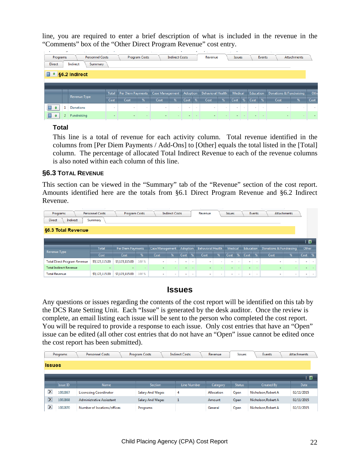line, you are required to enter a brief description of what is included in the revenue in the "Comments" box of the "Other Direct Program Revenue" cost entry.

| $\sim$        | $\overline{\phantom{a}}$ |                                |                        | ٠     |                   |               |                 |                       | ٠        | $\mathbf{r}$  | <b>Service</b>           |        |              |        |                          |               |                         |                    |      |
|---------------|--------------------------|--------------------------------|------------------------|-------|-------------------|---------------|-----------------|-----------------------|----------|---------------|--------------------------|--------|--------------|--------|--------------------------|---------------|-------------------------|--------------------|------|
|               | Programs                 |                                | <b>Personnel Costs</b> |       |                   | Program Costs |                 | <b>Indirect Costs</b> |          |               | Revenue                  |        | Issues       |        |                          | <b>Events</b> |                         | <b>Attachments</b> |      |
| <b>Direct</b> |                          | Indirect                       | Summary                |       |                   |               |                 |                       |          |               |                          |        |              |        |                          |               |                         |                    |      |
|               |                          | $\Box$ $\degree$ §6.2 Indirect |                        |       |                   |               |                 |                       |          |               |                          |        |              |        |                          |               |                         |                    |      |
|               |                          |                                |                        |       |                   |               |                 |                       |          |               |                          |        |              |        |                          |               |                         |                    |      |
|               |                          |                                |                        | Total | Per Diem Payments |               | Case Management |                       | Adoption |               | <b>Behavioral Health</b> |        | Medical      |        | Education                |               | Donations & Fundraising |                    | Oth  |
|               |                          | Revenue Type                   |                        | Cost  | Cost              | %             | Cost            | %                     | Cost     | $\frac{9}{6}$ | Cost                     | %      | Cost         | %      | Cost                     | %             | Cost                    | %                  | Cost |
| $\bf{0}$      |                          | Donations                      |                        | ۰.    | $\sim$            | $\sim$        | $\sim$          | $\sim$                | ۰        | $\sim$        | ۰.                       | $\sim$ | $\mathbf{r}$ | $\sim$ | $\overline{\phantom{a}}$ | $\sim$        | $\sim$                  | $\sim$             |      |
| 6 F           |                          |                                |                        |       |                   |               |                 |                       |          |               |                          |        |              |        |                          |               |                         |                    |      |

#### **Total**

This line is a total of revenue for each activity column. Total revenue identified in the columns from [Per Diem Payments / Add-Ons] to [Other] equals the total listed in the [Total] column. The percentage of allocated Total Indirect Revenue to each of the revenue columns is also noted within each column of this line.

#### **§6.3 TOTAL REVENUE**

This section can be viewed in the "Summary" tab of the "Revenue" section of the cost report. Amounts identified here are the totals from §6.1 Direct Program Revenue and §6.2 Indirect Revenue.

| Programs                            | <b>Personnel Costs</b> | Program Costs     |       |                          | <b>Indirect Costs</b> |                          |        | Revenue                  |        | <b>Issues</b> |        |                          | Events |                          | Attachments |                          |               |
|-------------------------------------|------------------------|-------------------|-------|--------------------------|-----------------------|--------------------------|--------|--------------------------|--------|---------------|--------|--------------------------|--------|--------------------------|-------------|--------------------------|---------------|
| Indirect<br><b>Direct</b>           | Summary                |                   |       |                          |                       |                          |        |                          |        |               |        |                          |        |                          |             |                          |               |
| §6.3 Total Revenue                  |                        |                   |       |                          |                       |                          |        |                          |        |               |        |                          |        |                          |             |                          |               |
|                                     |                        |                   |       |                          |                       |                          |        |                          |        |               |        |                          |        |                          |             |                          |               |
|                                     |                        |                   |       |                          |                       |                          |        |                          |        |               |        |                          |        |                          |             | 上图                       |               |
|                                     | Total                  | Per Diem Payments |       | Case Management          |                       | Adoption                 |        | <b>Behavioral Health</b> |        | Medical       |        | Education                |        | Donations & Fundraising  |             | Other                    |               |
| Revenue Type                        | Cost                   | Cost              | %     | Cost                     | %                     | Cost                     | %      | Cost                     | %      | Cost          | %      | Cost                     | %      | Cost                     | %           | Cost                     | $\frac{9}{6}$ |
| <b>Total Direct Program Revenue</b> | \$3,123,115.00         | \$3,123,115.00    | 100 % | $\overline{\phantom{a}}$ | ٠                     | $\overline{\phantom{a}}$ |        | ۰.                       | $\sim$ | $\sim$        | $\sim$ | $\overline{\phantom{a}}$ | ٠      | $\overline{\phantom{a}}$ | $\sim$      | ٠                        |               |
| <b>Total Indirect Revenue</b>       |                        |                   |       |                          |                       |                          |        |                          |        |               |        |                          |        |                          |             | $\overline{\phantom{a}}$ |               |
| <b>Total Revenue</b>                | \$3,123,115.00         | \$3,123,115.00    | 100 % |                          | $\sim$                |                          | $\sim$ | $\sim$                   | $\sim$ |               | $\sim$ |                          | $\sim$ |                          | $\sim$      | ٠                        |               |

#### **Issues**

Any questions or issues regarding the contents of the cost report will be identified on this tab by the DCS Rate Setting Unit. Each "Issue" is generated by the desk auditor. Once the review is complete, an email listing each issue will be sent to the person who completed the cost report. You will be required to provide a response to each issue. Only cost entries that have an "Open" issue can be edited (all other cost entries that do not have an "Open" issue cannot be edited once the cost report has been submitted).

|                         | Programs | <b>Personnel Costs</b>        | Program Costs           | <b>Indirect Costs</b> | Revenue    | <b>Issues</b> | Events              | <b>Attachments</b> |
|-------------------------|----------|-------------------------------|-------------------------|-----------------------|------------|---------------|---------------------|--------------------|
| <b>Issues</b>           |          |                               |                         |                       |            |               |                     |                    |
|                         |          |                               |                         |                       |            |               |                     | - 23               |
|                         | Issue ID | <b>Name</b>                   | <b>Section</b>          | Line Number           | Category   | <b>Status</b> | Created By          | Date               |
| $\overline{\mathsf{x}}$ | 1002867  | <b>Licencsing Coordinator</b> | <b>Salary And Wages</b> | 4                     | Allocation | Open          | Nicholson, Robert A | 02/11/2015         |
| $\overline{\mathsf{x}}$ | 1002868  | Administrative Assisstant     | <b>Salary And Wages</b> |                       | Amount     | Open          | Nicholson, Robert A | 02/11/2015         |
| $\mathsf{x}$            | 1002870  | Number of locations/offices   | Programs                |                       | General    | Open          | Nicholson, Robert A | 02/11/2015         |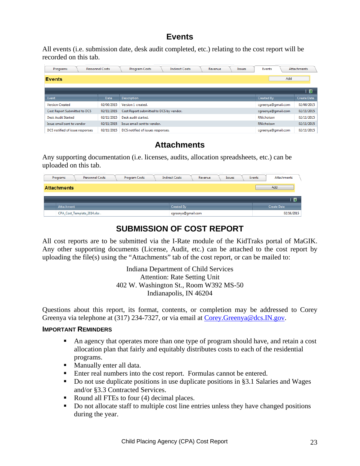## **Events**

All events (i.e. submission date, desk audit completed, etc.) relating to the cost report will be recorded on this tab.

| Programs                        | Personnel Costs | <b>Program Costs</b>                    | <b>Indirect Costs</b> | Revenue | <b>Issues</b> | Events             | <b>Attachments</b> |
|---------------------------------|-----------------|-----------------------------------------|-----------------------|---------|---------------|--------------------|--------------------|
| <b>Events</b>                   |                 |                                         |                       |         |               | Add                |                    |
|                                 |                 |                                         |                       |         |               |                    | 図                  |
| Event                           | <b>Date</b>     | <b>Description</b>                      |                       |         |               | <b>Created By</b>  | <b>Create Date</b> |
| <b>Version Created</b>          | 02/06/2015      | Version 1 created.                      |                       |         |               | cgreenya@gmail.com | 02/06/2015         |
| Cost Report Submitted to DCS    | 02/11/2015      | Cost Report submitted to DCS by vendor. |                       |         |               | cgreenya@gmail.com | 02/11/2015         |
| <b>Desk Audit Started</b>       | 02/11/2015      | Desk audit started.                     |                       |         |               | RNicholson         | 02/11/2015         |
| Issue email sent to vendor      | 02/11/2015      | Issue email sent to vendor.             |                       |         |               | <b>RNicholson</b>  | 02/11/2015         |
| DCS notified of issue responses | 02/11/2015      | DCS notified of issues responses.       |                       |         |               | cgreenya@gmail.com | 02/11/2015         |

## **Attachments**

Any supporting documentation (i.e. licenses, audits, allocation spreadsheets, etc.) can be uploaded on this tab.

| <b>Personnel Costs</b><br>Program Costs<br>Programs |  |                              | <b>Indirect Costs</b> | Revenue            | Events<br><b>Issues</b> |  |  | Attachments |             |
|-----------------------------------------------------|--|------------------------------|-----------------------|--------------------|-------------------------|--|--|-------------|-------------|
| <b>Attachments</b>                                  |  |                              |                       |                    |                         |  |  |             | Add         |
|                                                     |  |                              |                       |                    |                         |  |  |             | 图           |
| Attachment                                          |  |                              |                       | Created By         |                         |  |  |             | Create Date |
|                                                     |  | CPA Cost Template 2014.xlsx. |                       | cgreenya@gmail.com |                         |  |  |             | 02/16/2015  |

## **SUBMISSION OF COST REPORT**

All cost reports are to be submitted via the I-Rate module of the KidTraks portal of MaGIK. Any other supporting documents (License, Audit, etc.) can be attached to the cost report by uploading the file(s) using the "Attachments" tab of the cost report, or can be mailed to:

> Indiana Department of Child Services Attention: Rate Setting Unit 402 W. Washington St., Room W392 MS-50 Indianapolis, IN 46204

Questions about this report, its format, contents, or completion may be addressed to Corey Greenya via telephone at (317) 234-7327, or via email at Corey.Greenya@dcs.IN.gov.

#### **IMPORTANT REMINDERS**

- An agency that operates more than one type of program should have, and retain a cost allocation plan that fairly and equitably distributes costs to each of the residential programs.
- **Manually enter all data.**
- Enter real numbers into the cost report. Formulas cannot be entered.
- Do not use duplicate positions in use duplicate positions in §3.1 Salaries and Wages and/or §3.3 Contracted Services.
- Round all FTEs to four (4) decimal places.
- Do not allocate staff to multiple cost line entries unless they have changed positions during the year.